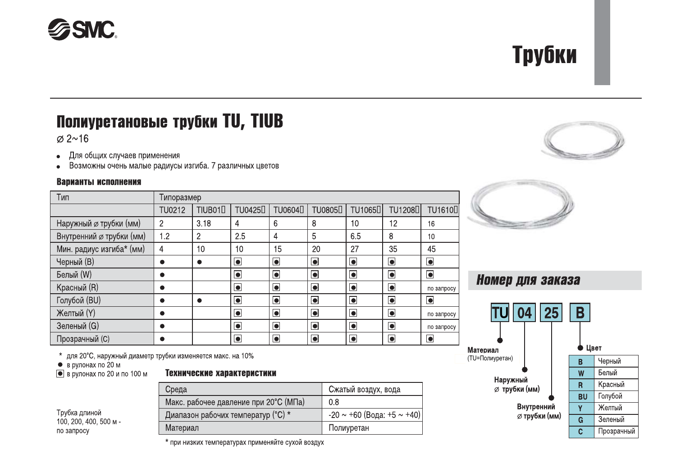## Трубки

## Полиуретановые трубки TU, TIUB

 $\varnothing$  2~16

- Для общих случаев применения  $\bullet$
- Возможны очень малые радиусы изгиба. 7 различных цветов

#### Варианты исполнения

| Тип                      | Типоразмер     |                     |                      |                     |                      |                      |                       |                |
|--------------------------|----------------|---------------------|----------------------|---------------------|----------------------|----------------------|-----------------------|----------------|
|                          | TU0212         | TIUB01 <sub>D</sub> | TU0425 <sup>[]</sup> | TU0604 <sub>D</sub> | TU0805 <sup>[]</sup> | TU1065 <sup>[]</sup> | TU1208 <sub>[1]</sub> | <b>TU1610</b>  |
| Наружный ∅ трубки (мм)   | $\overline{c}$ | 3.18                | 4                    | 6                   | 8                    | 10                   | 12                    | 16             |
| Внутренний ∅ трубки (мм) | 1.2            | 2                   | 2.5                  | 4                   | 5                    | 6.5                  | 8                     | 10             |
| Мин. радиус изгиба* (мм) | 4              | 10                  | 10                   | 15                  | 20                   | 27                   | 35                    | 45             |
| Черный (В)               |                | Ω                   | $\bullet$            | $\bullet$           | $\overline{\bullet}$ | $\overline{\bullet}$ | $\bullet$             | $\blacksquare$ |
| Белый (W)                |                |                     | $\bullet$            | $\bullet$           | $\bullet$            | $\bullet$            | $\bullet$             | $\blacksquare$ |
| Красный (R)              |                |                     | $\bullet$            | $\bullet$           | $\bullet$            | $\blacksquare$       | $\bullet$             | по запросу     |
| Голубой (BU)             |                | n                   | $\bullet$            | $\bullet$           | $\overline{\bullet}$ | $\blacksquare$       | $\bullet$             | $\bullet$      |
| Желтый (Y)               |                |                     | $\bullet$            | $\bullet$           | $\bullet$            | $\blacksquare$       | $\bullet$             | по запросу     |
| Зеленый (G)              |                |                     | $\overline{\bullet}$ | $\bullet$           | $\overline{\bullet}$ | $\overline{\bullet}$ | $\overline{\bullet}$  | по запросу     |
| Прозрачный (С)           |                |                     | $\bullet$            | $\bullet$           | $\bullet$            | $\overline{\bullet}$ | $\bullet$             | O              |



### Номер для заказа



\* для 20°С, наружный диаметр трубки изменяется макс. на 10%

Среда

Материал

 $\bullet$  в рулонах по 20 м

 $\bullet$  в рулонах по 20 и по 100 м

|  |  | Технические характеристики |
|--|--|----------------------------|
|--|--|----------------------------|

| Трубка длиной          |
|------------------------|
| 100. 200. 400. 500 м - |
| по запросу             |

\* при низких температурах применяйте сухой воздух

Макс. рабочее давление при 20°С (МПа)

Диапазон рабочих температур (°С) \*

Сжатый воздух, вода

-20  $\sim$  +60 (Вода: +5  $\sim$  +40)

 $0.8$ 

Полиуретан

## **SSMC**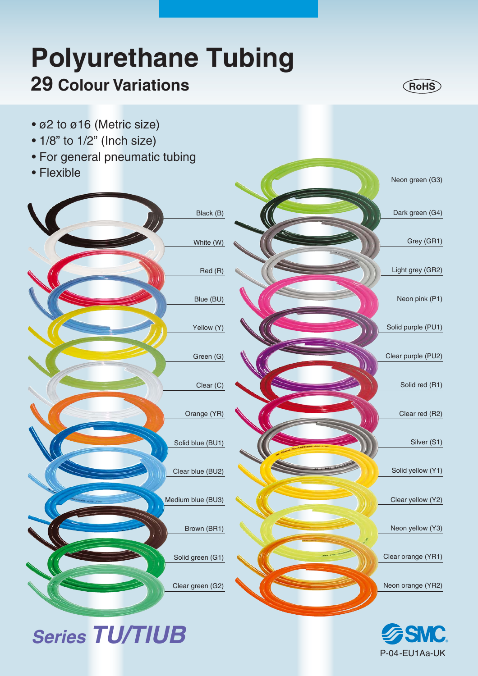# **Polyurethane Tubing 29 Colour Variations**



- ø2 to ø16 (Metric size)
- 1/8" to 1/2" (Inch size)
- For general pneumatic tubing

*Series TU/TIUB*

• Flexible



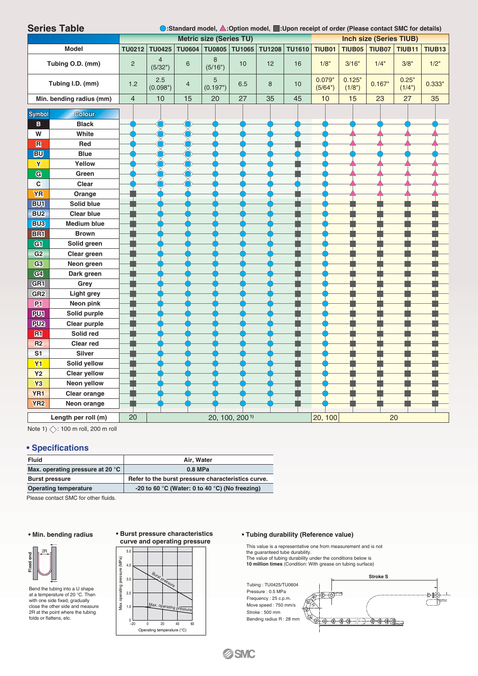|                         | <b>Series Table</b><br>◯:Standard model, △:Option model, ■:Upon receipt of order (Please contact SMC for details) |                                                                  |                           |    |               |                            |               |               |                   |                  |               |                 |               |
|-------------------------|-------------------------------------------------------------------------------------------------------------------|------------------------------------------------------------------|---------------------------|----|---------------|----------------------------|---------------|---------------|-------------------|------------------|---------------|-----------------|---------------|
|                         |                                                                                                                   | <b>Metric size (Series TU)</b><br><b>Inch size (Series TIUB)</b> |                           |    |               |                            |               |               |                   |                  |               |                 |               |
|                         | <b>Model</b>                                                                                                      | <b>TU0212</b>                                                    | <b>TU0425</b>             |    | TU0604 TU0805 | TU1065                     | <b>TU1208</b> | <b>TU1610</b> | <b>TIUB01</b>     | <b>TIUB05</b>    | <b>TIUB07</b> | <b>TIUB11</b>   | <b>TIUB13</b> |
| Tubing O.D. (mm)        |                                                                                                                   | $\overline{c}$                                                   | $\overline{4}$<br>(5/32") | 6  | 8<br>(5/16")  | 10                         | 12            | 16            | 1/8"              | 3/16"            | 1/4"          | 3/8"            | 1/2"          |
| Tubing I.D. (mm)        |                                                                                                                   | 1.2                                                              | 2.5<br>(0.098")           | 4  | 5<br>(0.197") | 6.5                        | 8             | 10            | 0.079"<br>(5/64") | 0.125"<br>(1/8") | 0.167"        | 0.25"<br>(1/4") | $0.333$ "     |
|                         | Min. bending radius (mm)                                                                                          | $\overline{\mathcal{L}}$                                         | 10                        | 15 | 20            | 27                         | 35            | 45            | 10                | 15               | 23            | 27              | 35            |
| <b>Symbol</b>           | <b>Colour</b>                                                                                                     |                                                                  |                           |    |               |                            |               |               |                   |                  |               |                 |               |
| в                       | <b>Black</b>                                                                                                      |                                                                  |                           |    |               |                            |               |               |                   |                  |               |                 |               |
| W                       | White                                                                                                             |                                                                  |                           |    |               |                            |               |               |                   |                  |               |                 |               |
| $\mathbb{R}$            | Red                                                                                                               |                                                                  |                           |    |               |                            |               |               |                   |                  |               |                 |               |
| <b>BU</b>               | <b>Blue</b>                                                                                                       |                                                                  |                           |    |               |                            |               |               |                   |                  |               |                 |               |
| $\overline{\mathbf{Y}}$ | Yellow                                                                                                            |                                                                  |                           |    |               |                            |               |               |                   |                  |               |                 |               |
| G                       | Green                                                                                                             |                                                                  |                           |    |               |                            |               |               |                   |                  |               |                 |               |
| C                       | Clear                                                                                                             |                                                                  |                           |    |               |                            |               |               |                   |                  |               |                 |               |
| <b>YR</b>               | Orange                                                                                                            |                                                                  |                           |    |               |                            |               |               |                   |                  |               |                 |               |
| <b>BU1</b>              | Solid blue                                                                                                        |                                                                  |                           |    |               |                            |               |               |                   |                  |               |                 |               |
| BU <sub>2</sub>         | <b>Clear blue</b>                                                                                                 |                                                                  |                           |    |               |                            |               |               |                   |                  |               |                 |               |
| <b>BU3</b>              | <b>Medium blue</b>                                                                                                |                                                                  |                           |    |               |                            |               |               |                   |                  |               |                 |               |
| <b>BRI</b>              | <b>Brown</b>                                                                                                      |                                                                  |                           |    |               |                            |               |               |                   |                  |               |                 |               |
| Gil                     | Solid green                                                                                                       |                                                                  |                           |    |               |                            |               |               |                   |                  |               |                 |               |
| G <sub>2</sub>          | Clear green                                                                                                       |                                                                  |                           |    |               |                            |               |               |                   |                  |               |                 |               |
| G <sub>3</sub>          | Neon green                                                                                                        |                                                                  |                           |    |               |                            |               |               |                   |                  |               |                 |               |
| C <sub>4</sub>          | Dark green                                                                                                        |                                                                  |                           |    |               |                            |               |               |                   |                  |               |                 |               |
| GR <sub>1</sub>         | Grey                                                                                                              |                                                                  |                           |    |               |                            |               |               |                   |                  |               |                 |               |
| GR <sub>2</sub>         | <b>Light grey</b>                                                                                                 |                                                                  |                           |    |               |                            |               |               |                   |                  |               |                 |               |
| P1                      | Neon pink                                                                                                         |                                                                  |                           |    |               |                            |               |               |                   |                  |               |                 |               |
| PUI                     | Solid purple                                                                                                      |                                                                  |                           |    |               |                            |               |               |                   |                  |               |                 |               |
| <b>PU2</b>              | Clear purple                                                                                                      |                                                                  |                           |    |               |                            |               |               |                   |                  |               |                 |               |
| R1                      | Solid red                                                                                                         |                                                                  |                           |    |               |                            |               |               |                   |                  |               |                 |               |
| R <sub>2</sub>          | <b>Clear red</b>                                                                                                  |                                                                  |                           |    |               |                            |               |               |                   |                  |               |                 |               |
| S <sub>1</sub>          | <b>Silver</b>                                                                                                     |                                                                  |                           |    |               |                            |               |               |                   |                  |               |                 |               |
| <b>Y1</b>               | Solid yellow                                                                                                      |                                                                  |                           |    |               |                            |               |               |                   |                  |               |                 |               |
| <b>Y2</b>               | <b>Clear yellow</b>                                                                                               |                                                                  |                           |    |               |                            |               |               |                   |                  |               |                 |               |
| Y <sub>3</sub>          | Neon yellow                                                                                                       |                                                                  |                           |    |               |                            |               |               |                   |                  |               |                 |               |
| YR <sub>1</sub>         | Clear orange                                                                                                      |                                                                  |                           |    |               |                            |               |               |                   |                  |               |                 |               |
| YR <sub>2</sub>         | Neon orange                                                                                                       |                                                                  |                           |    |               |                            |               |               |                   |                  |               |                 |               |
|                         | Length per roll (m)                                                                                               | 20                                                               |                           |    |               | 20, 100, 200 <sup>1)</sup> |               |               | 20, 100           |                  |               | 20              |               |

Note 1)  $\diamondsuit$ : 100 m roll, 200 m roll

#### **• Specifications**

| <b>Fluid</b>                     | Air. Water                                         |  |  |  |  |  |
|----------------------------------|----------------------------------------------------|--|--|--|--|--|
| Max. operating pressure at 20 °C | $0.8$ MPa                                          |  |  |  |  |  |
| <b>Burst pressure</b>            | Refer to the burst pressure characteristics curve. |  |  |  |  |  |
| <b>Operating temperature</b>     | -20 to 60 °C (Water: 0 to 40 °C) (No freezing)     |  |  |  |  |  |

Please contact SMC for other fluids.



Bend the tubing into a U shape at a temperature of 20 °C. Then with one side fixed, gradually close the other side and measure 2R at the point where the tubing folds or flattens, etc.

#### **• Burst pressure characteristics curve and operating pressure**

#### 5.0 Max. operating pressure (MPa) 4.0 Burst pressure 3.0 2.0 Max. operating pressure 1.0  $_{-20}^{0}$ −20 0 20 40 60 Operating temperature (°C)

Max. operating pressure (MPa)

#### • Min. bending radius • Burst pressure characteristics • Tubing durability (Reference value)

This value is a representative one from measurement and is not<br>the guaranteed tube durability.<br>The value of tubing durability under the conditions below is<br>**10 million times** (Condition: With grease on tubing surface)